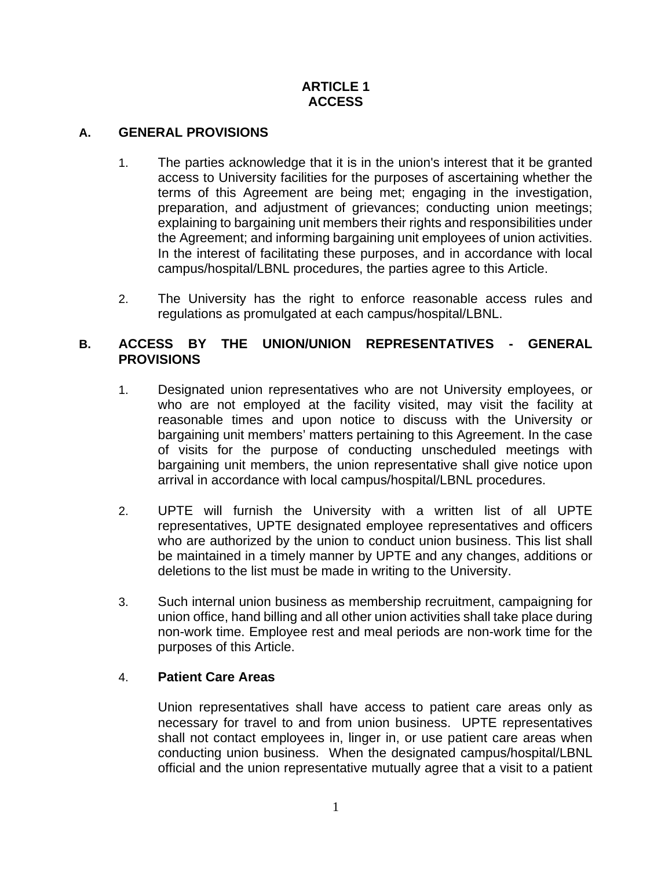## **ARTICLE 1 ACCESS**

## **A. GENERAL PROVISIONS**

- 1. The parties acknowledge that it is in the union's interest that it be granted access to University facilities for the purposes of ascertaining whether the terms of this Agreement are being met; engaging in the investigation, preparation, and adjustment of grievances; conducting union meetings; explaining to bargaining unit members their rights and responsibilities under the Agreement; and informing bargaining unit employees of union activities. In the interest of facilitating these purposes, and in accordance with local campus/hospital/LBNL procedures, the parties agree to this Article.
- 2. The University has the right to enforce reasonable access rules and regulations as promulgated at each campus/hospital/LBNL.

### **B. ACCESS BY THE UNION/UNION REPRESENTATIVES - GENERAL PROVISIONS**

- 1. Designated union representatives who are not University employees, or who are not employed at the facility visited, may visit the facility at reasonable times and upon notice to discuss with the University or bargaining unit members' matters pertaining to this Agreement. In the case of visits for the purpose of conducting unscheduled meetings with bargaining unit members, the union representative shall give notice upon arrival in accordance with local campus/hospital/LBNL procedures.
- 2. UPTE will furnish the University with a written list of all UPTE representatives, UPTE designated employee representatives and officers who are authorized by the union to conduct union business. This list shall be maintained in a timely manner by UPTE and any changes, additions or deletions to the list must be made in writing to the University.
- 3. Such internal union business as membership recruitment, campaigning for union office, hand billing and all other union activities shall take place during non-work time. Employee rest and meal periods are non-work time for the purposes of this Article.

### 4. **Patient Care Areas**

Union representatives shall have access to patient care areas only as necessary for travel to and from union business. UPTE representatives shall not contact employees in, linger in, or use patient care areas when conducting union business. When the designated campus/hospital/LBNL official and the union representative mutually agree that a visit to a patient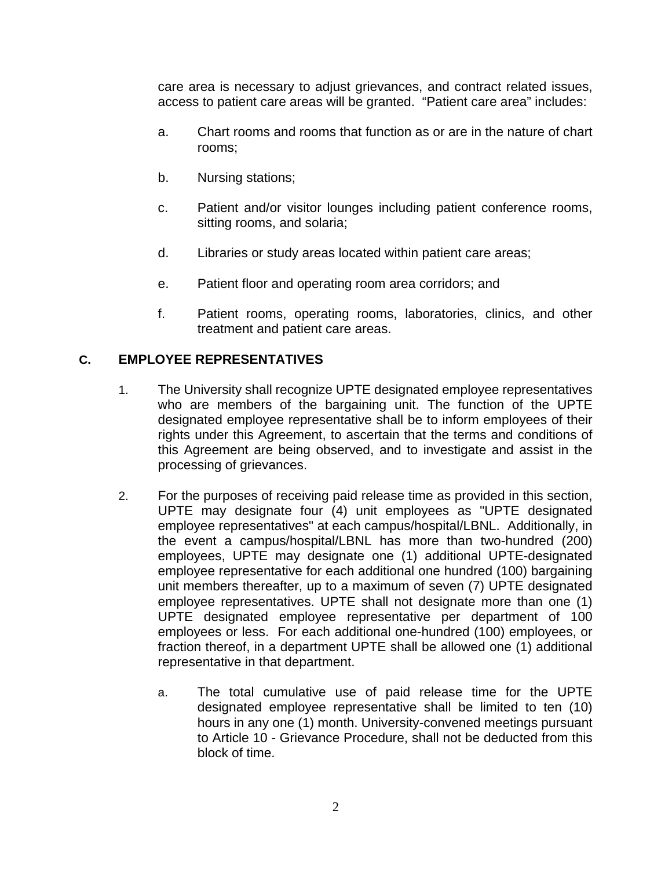care area is necessary to adjust grievances, and contract related issues, access to patient care areas will be granted. "Patient care area" includes:

- a. Chart rooms and rooms that function as or are in the nature of chart rooms;
- b. Nursing stations;
- c. Patient and/or visitor lounges including patient conference rooms, sitting rooms, and solaria;
- d. Libraries or study areas located within patient care areas;
- e. Patient floor and operating room area corridors; and
- f. Patient rooms, operating rooms, laboratories, clinics, and other treatment and patient care areas.

## **C. EMPLOYEE REPRESENTATIVES**

- 1. The University shall recognize UPTE designated employee representatives who are members of the bargaining unit. The function of the UPTE designated employee representative shall be to inform employees of their rights under this Agreement, to ascertain that the terms and conditions of this Agreement are being observed, and to investigate and assist in the processing of grievances.
- 2. For the purposes of receiving paid release time as provided in this section, UPTE may designate four (4) unit employees as "UPTE designated employee representatives" at each campus/hospital/LBNL. Additionally, in the event a campus/hospital/LBNL has more than two-hundred (200) employees, UPTE may designate one (1) additional UPTE-designated employee representative for each additional one hundred (100) bargaining unit members thereafter, up to a maximum of seven (7) UPTE designated employee representatives. UPTE shall not designate more than one (1) UPTE designated employee representative per department of 100 employees or less. For each additional one-hundred (100) employees, or fraction thereof, in a department UPTE shall be allowed one (1) additional representative in that department.
	- a. The total cumulative use of paid release time for the UPTE designated employee representative shall be limited to ten (10) hours in any one (1) month. University-convened meetings pursuant to Article 10 - Grievance Procedure, shall not be deducted from this block of time.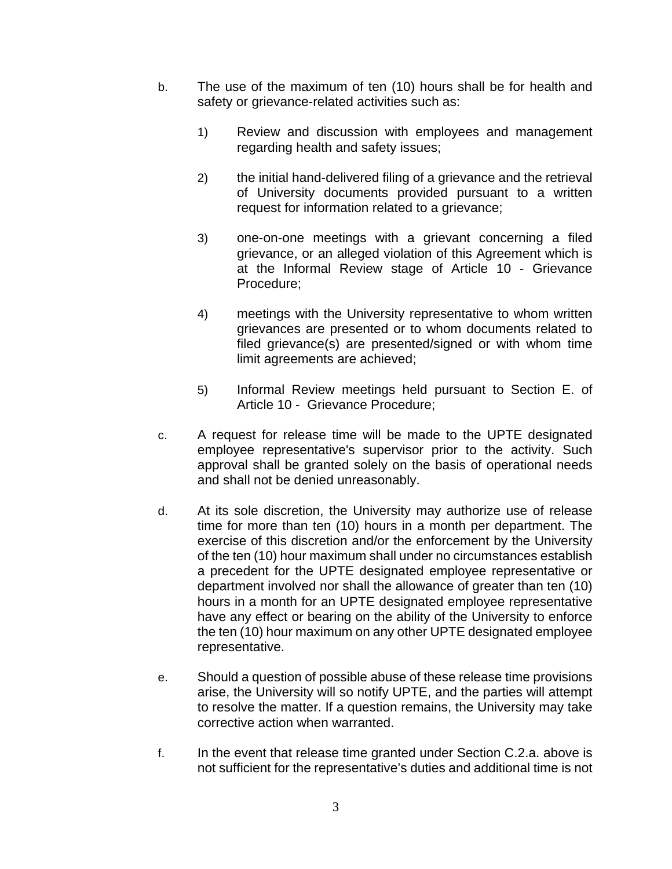- b. The use of the maximum of ten (10) hours shall be for health and safety or grievance-related activities such as:
	- 1) Review and discussion with employees and management regarding health and safety issues;
	- 2) the initial hand-delivered filing of a grievance and the retrieval of University documents provided pursuant to a written request for information related to a grievance;
	- 3) one-on-one meetings with a grievant concerning a filed grievance, or an alleged violation of this Agreement which is at the Informal Review stage of Article 10 - Grievance Procedure;
	- 4) meetings with the University representative to whom written grievances are presented or to whom documents related to filed grievance(s) are presented/signed or with whom time limit agreements are achieved;
	- 5) Informal Review meetings held pursuant to Section E. of Article 10 - Grievance Procedure;
- c. A request for release time will be made to the UPTE designated employee representative's supervisor prior to the activity. Such approval shall be granted solely on the basis of operational needs and shall not be denied unreasonably.
- d. At its sole discretion, the University may authorize use of release time for more than ten (10) hours in a month per department. The exercise of this discretion and/or the enforcement by the University of the ten (10) hour maximum shall under no circumstances establish a precedent for the UPTE designated employee representative or department involved nor shall the allowance of greater than ten (10) hours in a month for an UPTE designated employee representative have any effect or bearing on the ability of the University to enforce the ten (10) hour maximum on any other UPTE designated employee representative.
- e. Should a question of possible abuse of these release time provisions arise, the University will so notify UPTE, and the parties will attempt to resolve the matter. If a question remains, the University may take corrective action when warranted.
- f. In the event that release time granted under Section C.2.a. above is not sufficient for the representative's duties and additional time is not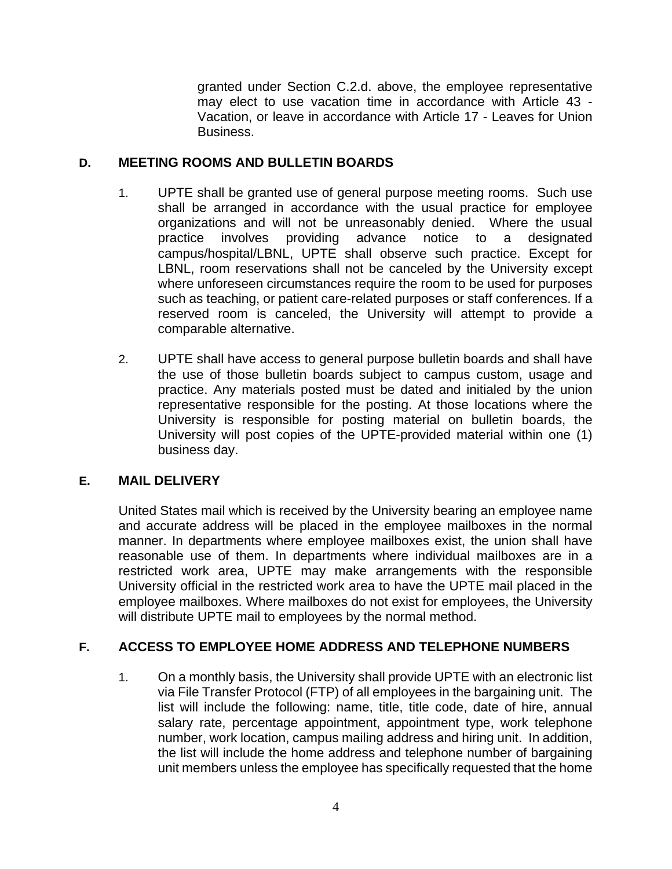granted under Section C.2.d. above, the employee representative may elect to use vacation time in accordance with Article 43 - Vacation, or leave in accordance with Article 17 - Leaves for Union Business.

## **D. MEETING ROOMS AND BULLETIN BOARDS**

- 1. UPTE shall be granted use of general purpose meeting rooms. Such use shall be arranged in accordance with the usual practice for employee organizations and will not be unreasonably denied. Where the usual practice involves providing advance notice to a designated campus/hospital/LBNL, UPTE shall observe such practice. Except for LBNL, room reservations shall not be canceled by the University except where unforeseen circumstances require the room to be used for purposes such as teaching, or patient care-related purposes or staff conferences. If a reserved room is canceled, the University will attempt to provide a comparable alternative.
- 2. UPTE shall have access to general purpose bulletin boards and shall have the use of those bulletin boards subject to campus custom, usage and practice. Any materials posted must be dated and initialed by the union representative responsible for the posting. At those locations where the University is responsible for posting material on bulletin boards, the University will post copies of the UPTE-provided material within one (1) business day.

# **E. MAIL DELIVERY**

United States mail which is received by the University bearing an employee name and accurate address will be placed in the employee mailboxes in the normal manner. In departments where employee mailboxes exist, the union shall have reasonable use of them. In departments where individual mailboxes are in a restricted work area, UPTE may make arrangements with the responsible University official in the restricted work area to have the UPTE mail placed in the employee mailboxes. Where mailboxes do not exist for employees, the University will distribute UPTE mail to employees by the normal method.

# **F. ACCESS TO EMPLOYEE HOME ADDRESS AND TELEPHONE NUMBERS**

1. On a monthly basis, the University shall provide UPTE with an electronic list via File Transfer Protocol (FTP) of all employees in the bargaining unit. The list will include the following: name, title, title code, date of hire, annual salary rate, percentage appointment, appointment type, work telephone number, work location, campus mailing address and hiring unit. In addition, the list will include the home address and telephone number of bargaining unit members unless the employee has specifically requested that the home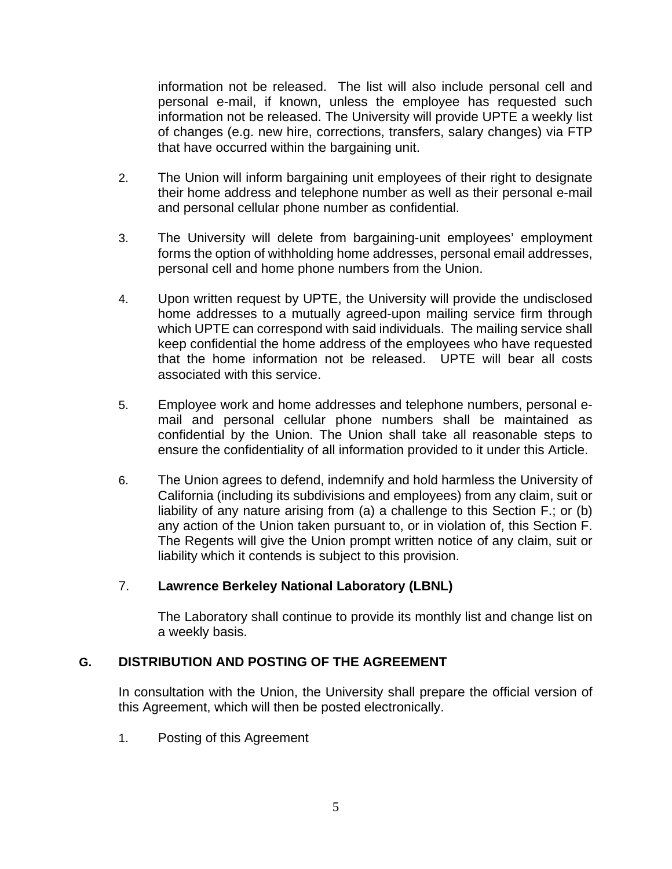information not be released. The list will also include personal cell and personal e-mail, if known, unless the employee has requested such information not be released. The University will provide UPTE a weekly list of changes (e.g. new hire, corrections, transfers, salary changes) via FTP that have occurred within the bargaining unit.

- 2. The Union will inform bargaining unit employees of their right to designate their home address and telephone number as well as their personal e-mail and personal cellular phone number as confidential.
- 3. The University will delete from bargaining-unit employees' employment forms the option of withholding home addresses, personal email addresses, personal cell and home phone numbers from the Union.
- 4. Upon written request by UPTE, the University will provide the undisclosed home addresses to a mutually agreed-upon mailing service firm through which UPTE can correspond with said individuals. The mailing service shall keep confidential the home address of the employees who have requested that the home information not be released. UPTE will bear all costs associated with this service.
- 5. Employee work and home addresses and telephone numbers, personal email and personal cellular phone numbers shall be maintained as confidential by the Union. The Union shall take all reasonable steps to ensure the confidentiality of all information provided to it under this Article.
- 6. The Union agrees to defend, indemnify and hold harmless the University of California (including its subdivisions and employees) from any claim, suit or liability of any nature arising from (a) a challenge to this Section F.; or (b) any action of the Union taken pursuant to, or in violation of, this Section F. The Regents will give the Union prompt written notice of any claim, suit or liability which it contends is subject to this provision.

# 7. **Lawrence Berkeley National Laboratory (LBNL)**

The Laboratory shall continue to provide its monthly list and change list on a weekly basis.

### **G. DISTRIBUTION AND POSTING OF THE AGREEMENT**

In consultation with the Union, the University shall prepare the official version of this Agreement, which will then be posted electronically.

1. Posting of this Agreement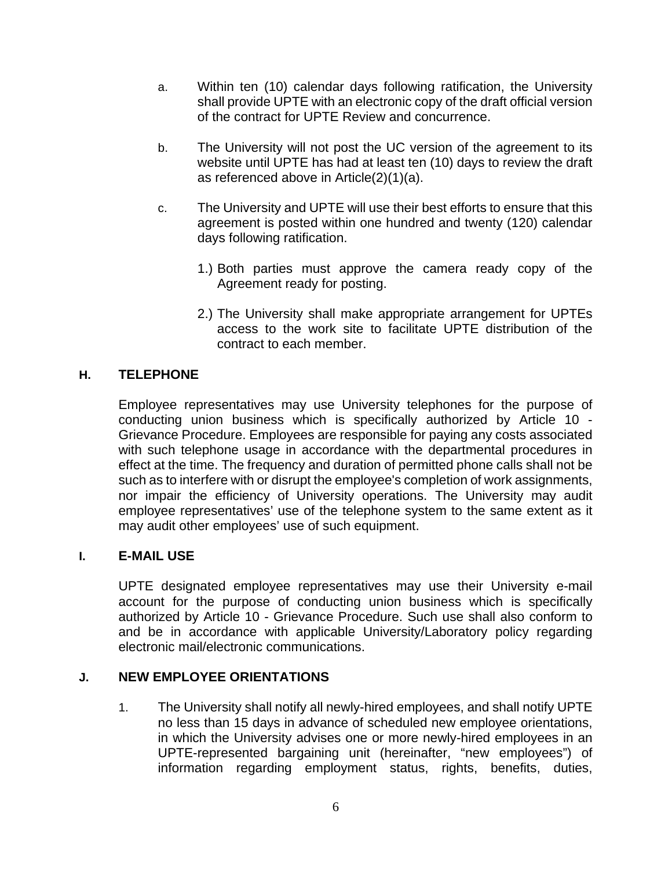- a. Within ten (10) calendar days following ratification, the University shall provide UPTE with an electronic copy of the draft official version of the contract for UPTE Review and concurrence.
- b. The University will not post the UC version of the agreement to its website until UPTE has had at least ten (10) days to review the draft as referenced above in Article(2)(1)(a).
- c. The University and UPTE will use their best efforts to ensure that this agreement is posted within one hundred and twenty (120) calendar days following ratification.
	- 1.) Both parties must approve the camera ready copy of the Agreement ready for posting.
	- 2.) The University shall make appropriate arrangement for UPTEs access to the work site to facilitate UPTE distribution of the contract to each member.

## **H. TELEPHONE**

Employee representatives may use University telephones for the purpose of conducting union business which is specifically authorized by Article 10 - Grievance Procedure. Employees are responsible for paying any costs associated with such telephone usage in accordance with the departmental procedures in effect at the time. The frequency and duration of permitted phone calls shall not be such as to interfere with or disrupt the employee's completion of work assignments, nor impair the efficiency of University operations. The University may audit employee representatives' use of the telephone system to the same extent as it may audit other employees' use of such equipment.

### **I. E-MAIL USE**

UPTE designated employee representatives may use their University e-mail account for the purpose of conducting union business which is specifically authorized by Article 10 - Grievance Procedure. Such use shall also conform to and be in accordance with applicable University/Laboratory policy regarding electronic mail/electronic communications.

### **J. NEW EMPLOYEE ORIENTATIONS**

1. The University shall notify all newly-hired employees, and shall notify UPTE no less than 15 days in advance of scheduled new employee orientations, in which the University advises one or more newly-hired employees in an UPTE-represented bargaining unit (hereinafter, "new employees") of information regarding employment status, rights, benefits, duties,